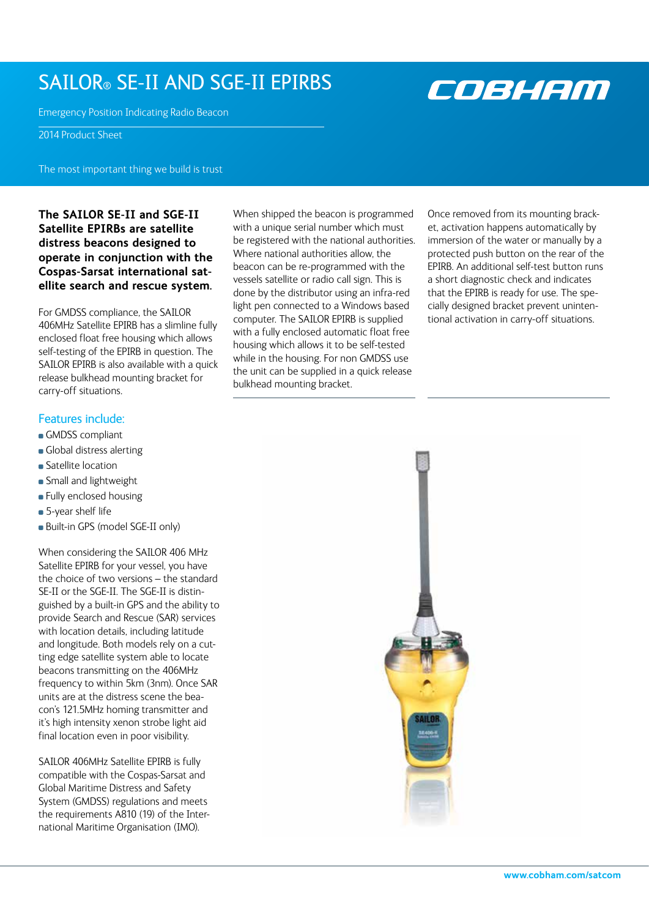# SAILOR® SE-II AND SGE-II EPIRBS

Emergency Position Indicating Radio Beacon

2014 Product Sheet

The most important thing we build is trust

**The SAILOR SE-II and SGE-II Satellite EPIRBs are satellite distress beacons designed to operate in conjunction with the Cospas-Sarsat international satellite search and rescue system.**

For GMDSS compliance, the SAILOR 406MHz Satellite EPIRB has a slimline fully enclosed float free housing which allows self-testing of the EPIRB in question. The SAILOR EPIRB is also available with a quick release bulkhead mounting bracket for carry-off situations.

## Features include:

- GMDSS compliant
- Global distress alerting
- **Satellite location**
- **Small and lightweight**
- **Fully enclosed housing**
- 5-year shelf life
- Built-in GPS (model SGE-II only)

When considering the SAILOR 406 MHz Satellite EPIRB for your vessel, you have the choice of two versions – the standard SE-II or the SGE-II. The SGE-II is distinguished by a built-in GPS and the ability to provide Search and Rescue (SAR) services with location details, including latitude and longitude. Both models rely on a cutting edge satellite system able to locate beacons transmitting on the 406MHz frequency to within 5km (3nm). Once SAR units are at the distress scene the beacon's 121.5MHz homing transmitter and it's high intensity xenon strobe light aid final location even in poor visibility.

SAILOR 406MHz Satellite EPIRB is fully compatible with the Cospas-Sarsat and Global Maritime Distress and Safety System (GMDSS) regulations and meets the requirements A810 (19) of the International Maritime Organisation (IMO).

When shipped the beacon is programmed with a unique serial number which must be registered with the national authorities. Where national authorities allow, the beacon can be re-programmed with the vessels satellite or radio call sign. This is done by the distributor using an infra-red light pen connected to a Windows based computer. The SAILOR EPIRB is supplied with a fully enclosed automatic float free housing which allows it to be self-tested while in the housing. For non GMDSS use the unit can be supplied in a quick release bulkhead mounting bracket.

Once removed from its mounting bracket, activation happens automatically by immersion of the water or manually by a protected push button on the rear of the EPIRB. An additional self-test button runs a short diagnostic check and indicates that the EPIRB is ready for use. The specially designed bracket prevent unintentional activation in carry-off situations.



COBHAM